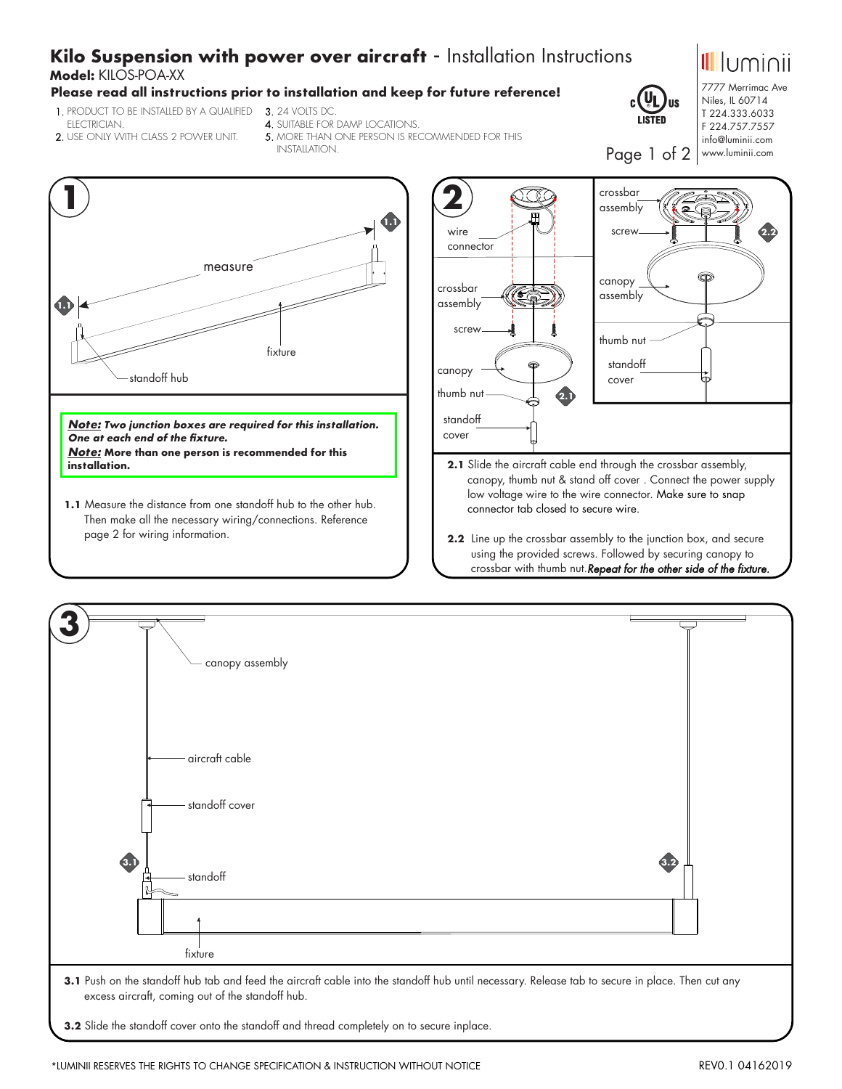# **Kilo Suspension with power over aircraft** - Installation Instructions

## **Model:** KILOS-POA-XX

## **Please read all instructions prior to installation and keep for future reference!**

- 1.PRODUCT TO BE INSTALLED BY A QUALIFIED 3.24 VOLTS DC. ELECTRICIAN.
	-
- 2.USE ONLY WITH CLASS 2 POWER UNIT.
- 4.SUITABLE FOR DAMP LOCATIONS.
- 5. MORE THAN ONE PERSON IS RECOMMENDED FOR THIS INSTALLATION.



**1.1** Measure the distance from one standoff hub to the other hub. Then make all the necessary wiring/connections. Reference page 2 for wiring information.



- **2.1** Slide the aircraft cable end through the crossbar assembly, canopy, thumb nut & stand off cover . Connect the power supply low voltage wire to the wire connector. Make sure to snap connector tab closed to secure wire.
- **2.2** Line up the crossbar assembly to the junction box, and secure using the provided screws. Followed by securing canopy to crossbar with thumb nut.*Repeat for the other side of the fixture.*







7777 Merrimac Ave Niles, IL 60714 T 224.333.6033 F 224.757.7557 info@luminii.com

Page 1 of 2